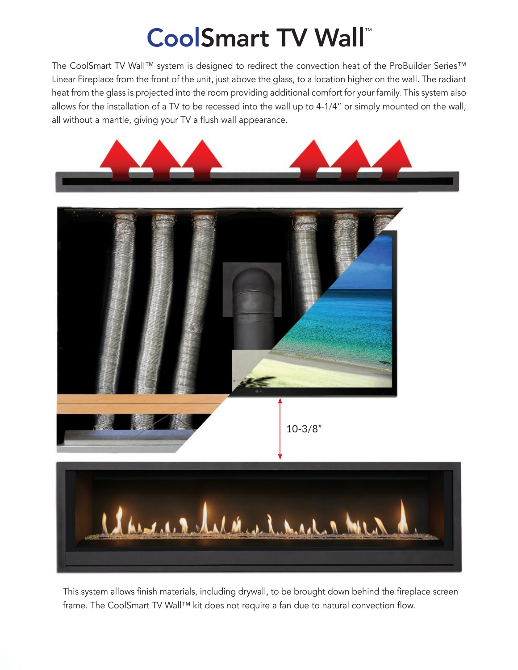## CoolSmart TV Wall™

The CoolSmart TV Wall™ system is designed to redirect the convection heat of the ProBuilder Series™ Linear Fireplace from the front of the unit, just above the glass, to a location higher on the wall. The radiant heat from the glass is projected into the room providing additional comfort for your family. This system also allows for the installation of a TV to be recessed into the wall up to 4-1/4" or simply mounted on the wall, all without a mantle, giving your TV a flush wall appearance.







This system allows finish materials, including drywall, to be brought down behind the fireplace screen frame. The CoolSmart TV Wall™ kit does not require a fan due to natural convection flow.